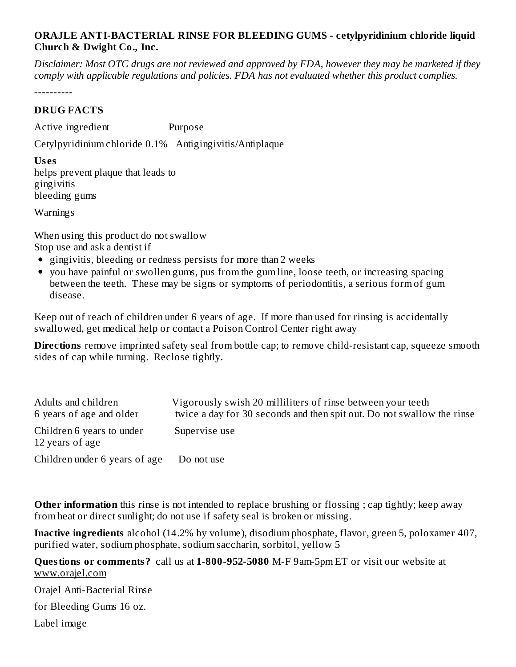## **ORAJLE ANTI-BACTERIAL RINSE FOR BLEEDING GUMS - cetylpyridinium chloride liquid Church & Dwight Co., Inc.**

Disclaimer: Most OTC drugs are not reviewed and approved by FDA, however they may be marketed if they *comply with applicable regulations and policies. FDA has not evaluated whether this product complies.*

----------

## **DRUG FACTS**

Active ingredient Purpose

Cetylpyridinium chloride 0.1% Antigingivitis/Antiplaque

**Us es** helps prevent plaque that leads to gingivitis bleeding gums

Warnings

When using this product do not swallow Stop use and ask a dentist if

- gingivitis, bleeding or redness persists for more than 2 weeks
- you have painful or swollen gums, pus from the gum line, loose teeth, or increasing spacing between the teeth. These may be signs or symptoms of periodontitis, a serious form of gum disease.

Keep out of reach of children under 6 years of age. If more than used for rinsing is accidentally swallowed, get medical help or contact a Poison Control Center right away

**Directions** remove imprinted safety seal from bottle cap; to remove child-resistant cap, squeeze smooth sides of cap while turning. Reclose tightly.

| Adults and children<br>6 years of age and older | Vigorously swish 20 milliliters of rinse between your teeth<br>twice a day for 30 seconds and then spit out. Do not swallow the rinse |
|-------------------------------------------------|---------------------------------------------------------------------------------------------------------------------------------------|
| Children 6 years to under<br>12 years of age    | Supervise use                                                                                                                         |
| Children under 6 years of age                   | Do not use                                                                                                                            |

**Other information** this rinse is not intended to replace brushing or flossing; cap tightly; keep away from heat or direct sunlight; do not use if safety seal is broken or missing.

**Inactive ingredients** alcohol (14.2% by volume), disodium phosphate, flavor, green 5, poloxamer 407, purified water, sodium phosphate, sodium saccharin, sorbitol, yellow 5

**Questions or comments?** call us at **1-800-952-5080** M-F 9am-5pm ET or visit our website at www.orajel.com

Orajel Anti-Bacterial Rinse

for Bleeding Gums 16 oz.

Label image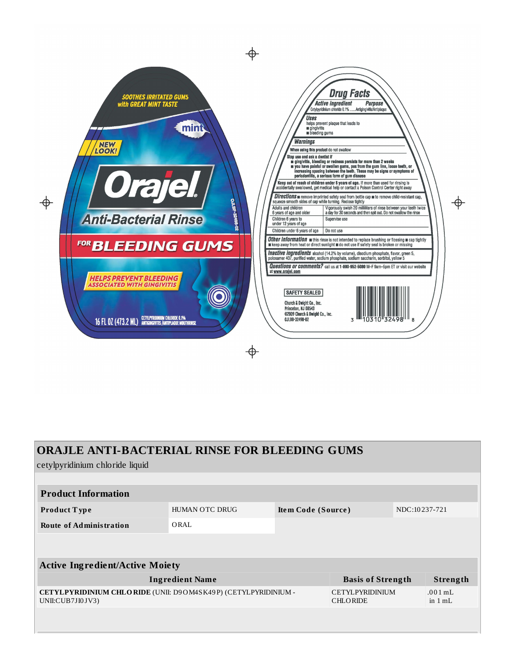

| <b>ORAJLE ANTI-BACTERIAL RINSE FOR BLEEDING GUMS</b>                               |                |                    |                                           |               |                                   |  |  |
|------------------------------------------------------------------------------------|----------------|--------------------|-------------------------------------------|---------------|-----------------------------------|--|--|
| cetylpyridinium chloride liquid                                                    |                |                    |                                           |               |                                   |  |  |
|                                                                                    |                |                    |                                           |               |                                   |  |  |
| <b>Product Information</b>                                                         |                |                    |                                           |               |                                   |  |  |
| <b>Product Type</b>                                                                | HUMAN OTC DRUG | Item Code (Source) |                                           | NDC:10237-721 |                                   |  |  |
| <b>Route of Administration</b>                                                     | ORAL           |                    |                                           |               |                                   |  |  |
|                                                                                    |                |                    |                                           |               |                                   |  |  |
|                                                                                    |                |                    |                                           |               |                                   |  |  |
| <b>Active Ingredient/Active Moiety</b>                                             |                |                    |                                           |               |                                   |  |  |
| <b>Ingredient Name</b>                                                             |                |                    | <b>Basis of Strength</b>                  |               | Strength                          |  |  |
| CETYLPYRIDINIUM CHLORIDE (UNII: D9OM4SK49P) (CETYLPYRIDINIUM -<br>UNII:CUB7JI0JV3) |                |                    | <b>CETYLPYRIDINIUM</b><br><b>CHLORIDE</b> |               | $.001 \,\mathrm{mL}$<br>in $1 mL$ |  |  |
|                                                                                    |                |                    |                                           |               |                                   |  |  |
|                                                                                    |                |                    |                                           |               |                                   |  |  |